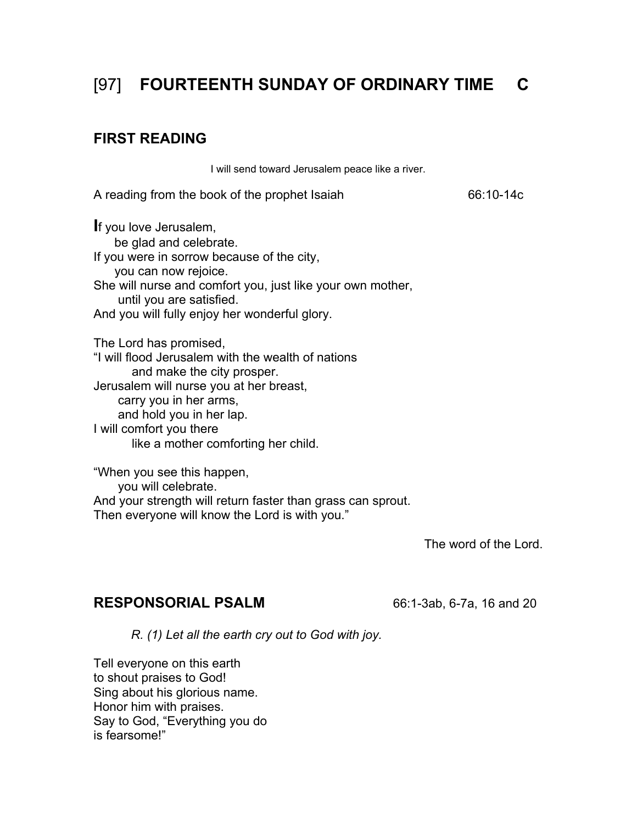# [97] **FOURTEENTH SUNDAY OF ORDINARY TIME C**

## **FIRST READING**

I will send toward Jerusalem peace like a river.

A reading from the book of the prophet Isaiah 66:10-14c

**I**f you love Jerusalem, be glad and celebrate. If you were in sorrow because of the city, you can now rejoice. She will nurse and comfort you, just like your own mother, until you are satisfied. And you will fully enjoy her wonderful glory.

The Lord has promised, "I will flood Jerusalem with the wealth of nations and make the city prosper. Jerusalem will nurse you at her breast, carry you in her arms, and hold you in her lap. I will comfort you there like a mother comforting her child.

"When you see this happen, you will celebrate. And your strength will return faster than grass can sprout. Then everyone will know the Lord is with you."

The word of the Lord.

## **RESPONSORIAL PSALM** 66:1-3ab, 6-7a, 16 and 20

*R. (1) Let all the earth cry out to God with joy.* 

Tell everyone on this earth to shout praises to God! Sing about his glorious name. Honor him with praises. Say to God, "Everything you do is fearsome!"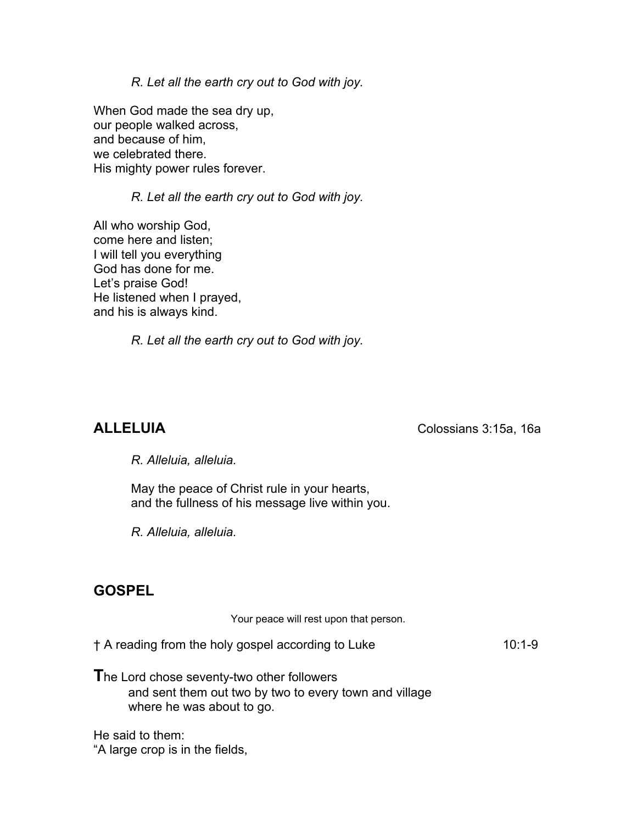*R. Let all the earth cry out to God with joy.*

When God made the sea dry up, our people walked across, and because of him, we celebrated there. His mighty power rules forever.

### *R. Let all the earth cry out to God with joy.*

All who worship God, come here and listen; I will tell you everything God has done for me. Let's praise God! He listened when I prayed, and his is always kind.

*R. Let all the earth cry out to God with joy.*

**ALLELUIA** Colossians 3:15a, 16a

 *R. Alleluia, alleluia.* 

 May the peace of Christ rule in your hearts, and the fullness of his message live within you.

*R. Alleluia, alleluia.* 

## **GOSPEL**

Your peace will rest upon that person. † A reading from the holy gospel according to Luke 10:1-9 **T**he Lord chose seventy-two other followers and sent them out two by two to every town and village where he was about to go.

He said to them: "A large crop is in the fields,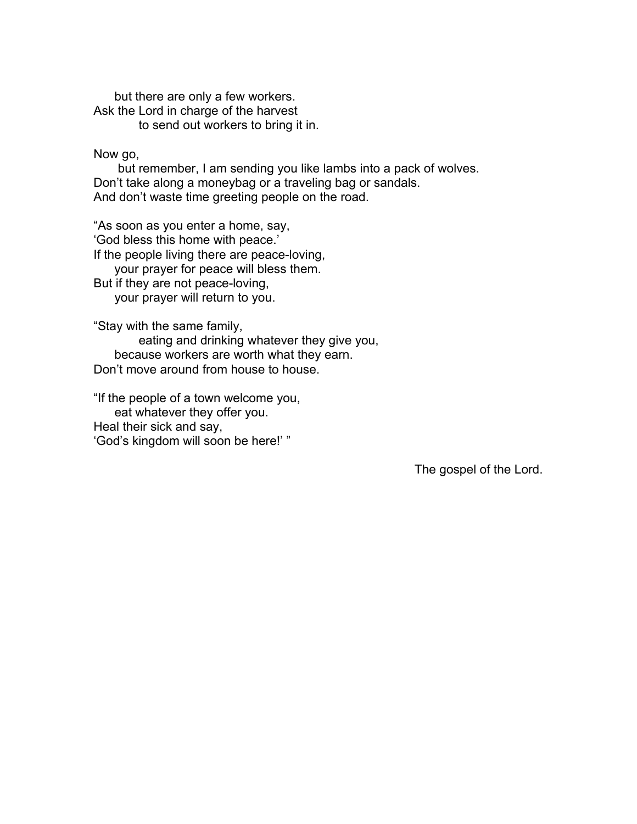but there are only a few workers. Ask the Lord in charge of the harvest to send out workers to bring it in.

Now go,

 but remember, I am sending you like lambs into a pack of wolves. Don't take along a moneybag or a traveling bag or sandals. And don't waste time greeting people on the road.

"As soon as you enter a home, say, 'God bless this home with peace.' If the people living there are peace-loving, your prayer for peace will bless them.

But if they are not peace-loving,

your prayer will return to you.

"Stay with the same family,

 eating and drinking whatever they give you, because workers are worth what they earn. Don't move around from house to house.

"If the people of a town welcome you, eat whatever they offer you. Heal their sick and say, 'God's kingdom will soon be here!' "

The gospel of the Lord.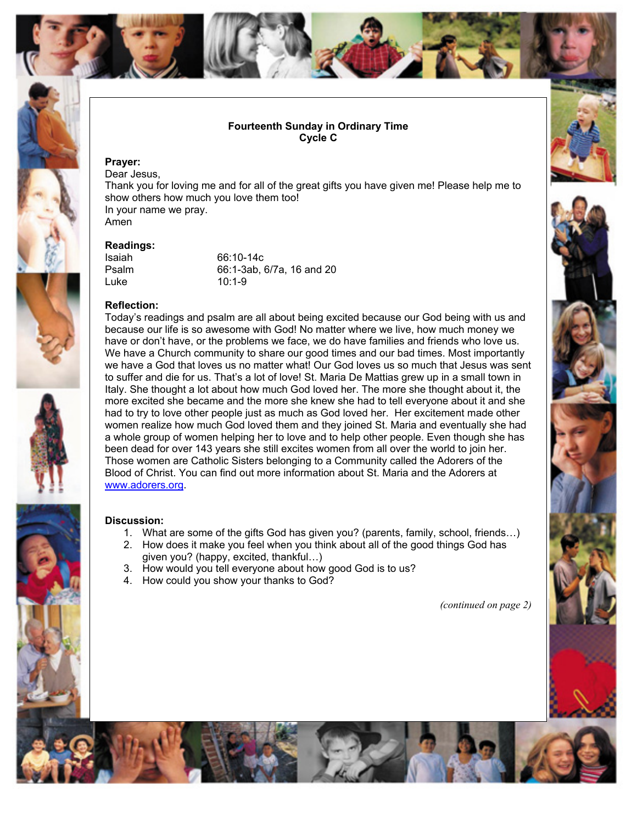

#### **Fourteenth Sunday in Ordinary Time Cycle C**

#### **Prayer:**

Dear Jesus, Thank you for loving me and for all of the great gifts you have given me! Please help me to show others how much you love them too! In your name we pray. Amen

#### **Readings:**

Isaiah 66:10-14c Psalm 66:1-3ab, 6/7a, 16 and 20 Luke 10:1-9

#### **Reflection:**



because our life is so awesome with God! No matter where we live, how much money we have or don't have, or the problems we face, we do have families and friends who love us. We have a Church community to share our good times and our bad times. Most importantly we have a God that loves us no matter what! Our God loves us so much that Jesus was sent to suffer and die for us. That's a lot of love! St. Maria De Mattias grew up in a small town in Italy. She thought a lot about how much God loved her. The more she thought about it, the more excited she became and the more she knew she had to tell everyone about it and she had to try to love other people just as much as God loved her. Her excitement made other women realize how much God loved them and they joined St. Maria and eventually she had a whole group of women helping her to love and to help other people. Even though she has been dead for over 143 years she still excites women from all over the world to join her. Those women are Catholic Sisters belonging to a Community called the Adorers of the Blood of Christ. You can find out more information about St. Maria and the Adorers at [www.adorers.org.](http://www.adorers.org/)

Today's readings and psalm are all about being excited because our God being with us and

#### **Discussion:**

- 1. What are some of the gifts God has given you? (parents, family, school, friends…)
- 2. How does it make you feel when you think about all of the good things God has given you? (happy, excited, thankful…)
- 3. How would you tell everyone about how good God is to us?
- 4. How could you show your thanks to God?

*(continued on page 2)*